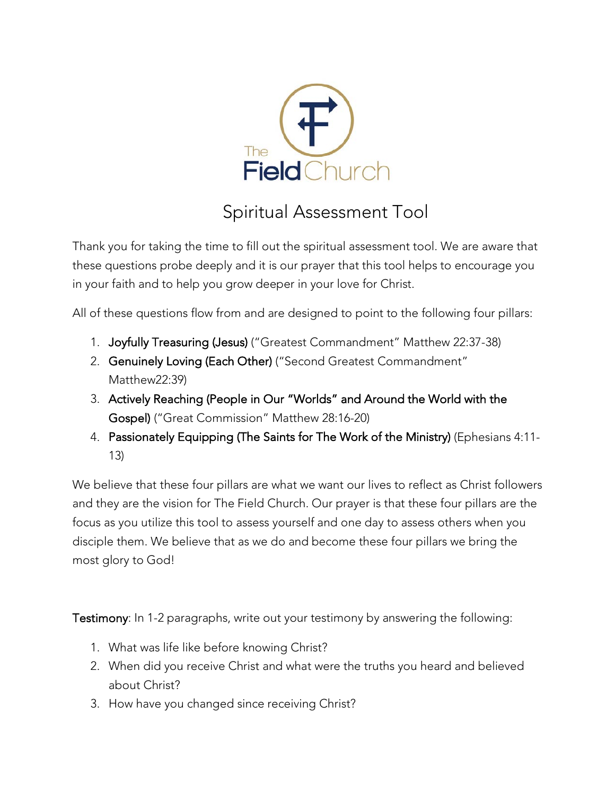

## Spiritual Assessment Tool

Thank you for taking the time to fill out the spiritual assessment tool. We are aware that these questions probe deeply and it is our prayer that this tool helps to encourage you in your faith and to help you grow deeper in your love for Christ.

All of these questions flow from and are designed to point to the following four pillars:

- 1. Joyfully Treasuring (Jesus) ("Greatest Commandment" Matthew 22:37-38)
- 2. Genuinely Loving (Each Other) ("Second Greatest Commandment" Matthew22:39)
- 3. Actively Reaching (People in Our "Worlds" and Around the World with the Gospel) ("Great Commission" Matthew 28:16-20)
- 4. Passionately Equipping (The Saints for The Work of the Ministry) (Ephesians 4:11- 13)

We believe that these four pillars are what we want our lives to reflect as Christ followers and they are the vision for The Field Church. Our prayer is that these four pillars are the focus as you utilize this tool to assess yourself and one day to assess others when you disciple them. We believe that as we do and become these four pillars we bring the most glory to God!

Testimony: In 1-2 paragraphs, write out your testimony by answering the following:

- 1. What was life like before knowing Christ?
- 2. When did you receive Christ and what were the truths you heard and believed about Christ?
- 3. How have you changed since receiving Christ?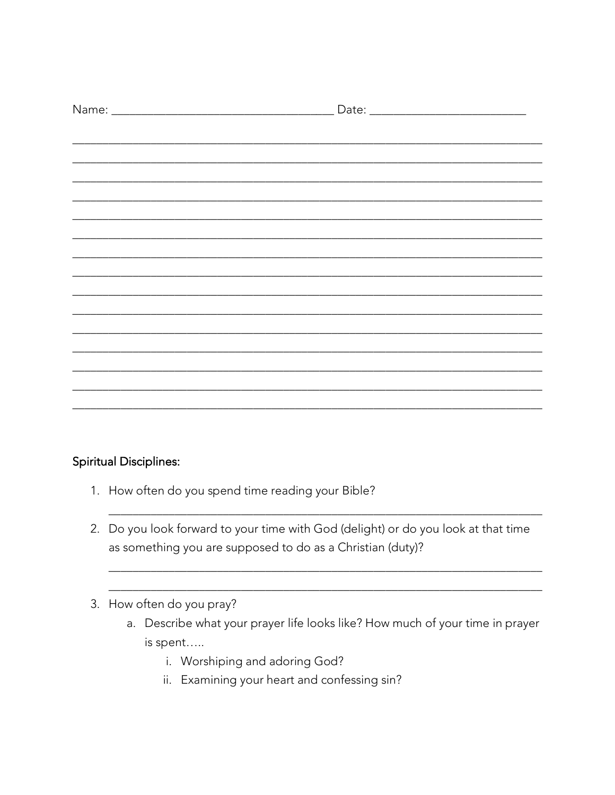#### **Spiritual Disciplines:**

- 1. How often do you spend time reading your Bible?
- 2. Do you look forward to your time with God (delight) or do you look at that time as something you are supposed to do as a Christian (duty)?
- 3. How often do you pray?
	- a. Describe what your prayer life looks like? How much of your time in prayer is spent.....
		- i. Worshiping and adoring God?
		- ii. Examining your heart and confessing sin?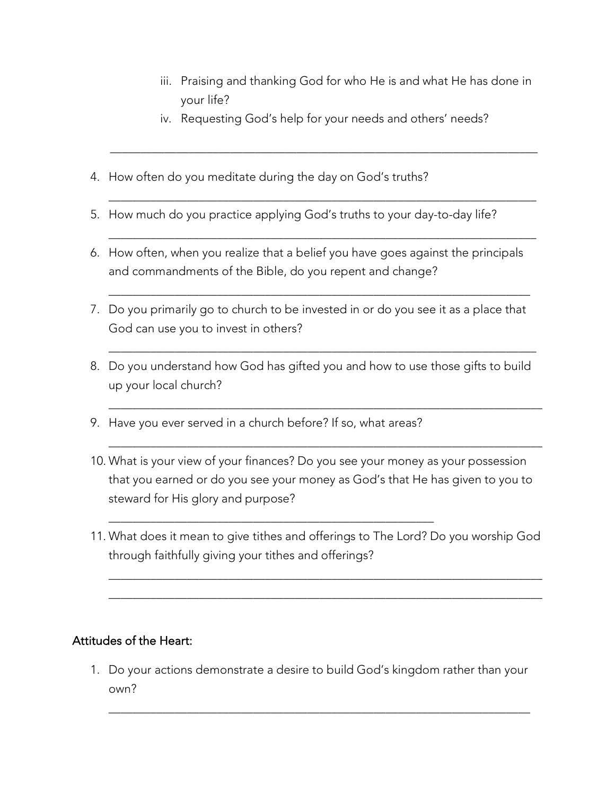- iii. Praising and thanking God for who He is and what He has done in your life?
- iv. Requesting God's help for your needs and others' needs?

\_\_\_\_\_\_\_\_\_\_\_\_\_\_\_\_\_\_\_\_\_\_\_\_\_\_\_\_\_\_\_\_\_\_\_\_\_\_\_\_\_\_\_\_\_\_\_\_\_\_\_\_\_\_\_\_\_\_\_\_\_\_\_\_\_\_\_\_\_\_\_

\_\_\_\_\_\_\_\_\_\_\_\_\_\_\_\_\_\_\_\_\_\_\_\_\_\_\_\_\_\_\_\_\_\_\_\_\_\_\_\_\_\_\_\_\_\_\_\_\_\_\_\_\_\_\_\_\_\_\_\_\_\_\_\_\_\_\_\_\_\_\_

\_\_\_\_\_\_\_\_\_\_\_\_\_\_\_\_\_\_\_\_\_\_\_\_\_\_\_\_\_\_\_\_\_\_\_\_\_\_\_\_\_\_\_\_\_\_\_\_\_\_\_\_\_\_\_\_\_\_\_\_\_\_\_\_\_\_\_\_\_\_

\_\_\_\_\_\_\_\_\_\_\_\_\_\_\_\_\_\_\_\_\_\_\_\_\_\_\_\_\_\_\_\_\_\_\_\_\_\_\_\_\_\_\_\_\_\_\_\_\_\_\_\_\_\_\_\_\_\_\_\_\_\_\_\_\_\_\_\_\_\_\_

\_\_\_\_\_\_\_\_\_\_\_\_\_\_\_\_\_\_\_\_\_\_\_\_\_\_\_\_\_\_\_\_\_\_\_\_\_\_\_\_\_\_\_\_\_\_\_\_\_\_\_\_\_\_\_\_\_\_\_\_\_\_\_\_\_\_\_\_\_\_\_\_

\_\_\_\_\_\_\_\_\_\_\_\_\_\_\_\_\_\_\_\_\_\_\_\_\_\_\_\_\_\_\_\_\_\_\_\_\_\_\_\_\_\_\_\_\_\_\_\_\_\_\_\_\_\_\_\_\_\_\_\_\_\_\_\_\_\_\_\_\_\_\_\_

- 4. How often do you meditate during the day on God's truths?
- 5. How much do you practice applying God's truths to your day-to-day life?

 $\mathcal{L} = \{ \mathcal{L} = \{ \mathcal{L} \mid \mathcal{L} = \{ \mathcal{L} \mid \mathcal{L} = \{ \mathcal{L} \mid \mathcal{L} = \{ \mathcal{L} \mid \mathcal{L} = \{ \mathcal{L} \mid \mathcal{L} = \{ \mathcal{L} \mid \mathcal{L} = \{ \mathcal{L} \mid \mathcal{L} = \{ \mathcal{L} \mid \mathcal{L} = \{ \mathcal{L} \mid \mathcal{L} = \{ \mathcal{L} \mid \mathcal{L} = \{ \mathcal{L} \mid \mathcal{L} = \{ \mathcal{L} \mid \mathcal{L} =$ 

- 6. How often, when you realize that a belief you have goes against the principals and commandments of the Bible, do you repent and change?
- 7. Do you primarily go to church to be invested in or do you see it as a place that God can use you to invest in others?
- 8. Do you understand how God has gifted you and how to use those gifts to build up your local church?
- 9. Have you ever served in a church before? If so, what areas?

\_\_\_\_\_\_\_\_\_\_\_\_\_\_\_\_\_\_\_\_\_\_\_\_\_\_\_\_\_\_\_\_\_\_\_\_\_\_\_\_\_\_\_\_\_\_\_\_\_\_\_\_\_\_

- 10. What is your view of your finances? Do you see your money as your possession that you earned or do you see your money as God's that He has given to you to steward for His glory and purpose?
- 11. What does it mean to give tithes and offerings to The Lord? Do you worship God through faithfully giving your tithes and offerings?

\_\_\_\_\_\_\_\_\_\_\_\_\_\_\_\_\_\_\_\_\_\_\_\_\_\_\_\_\_\_\_\_\_\_\_\_\_\_\_\_\_\_\_\_\_\_\_\_\_\_\_\_\_\_\_\_\_\_\_\_\_\_\_\_\_\_\_\_\_\_\_\_ \_\_\_\_\_\_\_\_\_\_\_\_\_\_\_\_\_\_\_\_\_\_\_\_\_\_\_\_\_\_\_\_\_\_\_\_\_\_\_\_\_\_\_\_\_\_\_\_\_\_\_\_\_\_\_\_\_\_\_\_\_\_\_\_\_\_\_\_\_\_\_\_

#### Attitudes of the Heart:

1. Do your actions demonstrate a desire to build God's kingdom rather than your own?

\_\_\_\_\_\_\_\_\_\_\_\_\_\_\_\_\_\_\_\_\_\_\_\_\_\_\_\_\_\_\_\_\_\_\_\_\_\_\_\_\_\_\_\_\_\_\_\_\_\_\_\_\_\_\_\_\_\_\_\_\_\_\_\_\_\_\_\_\_\_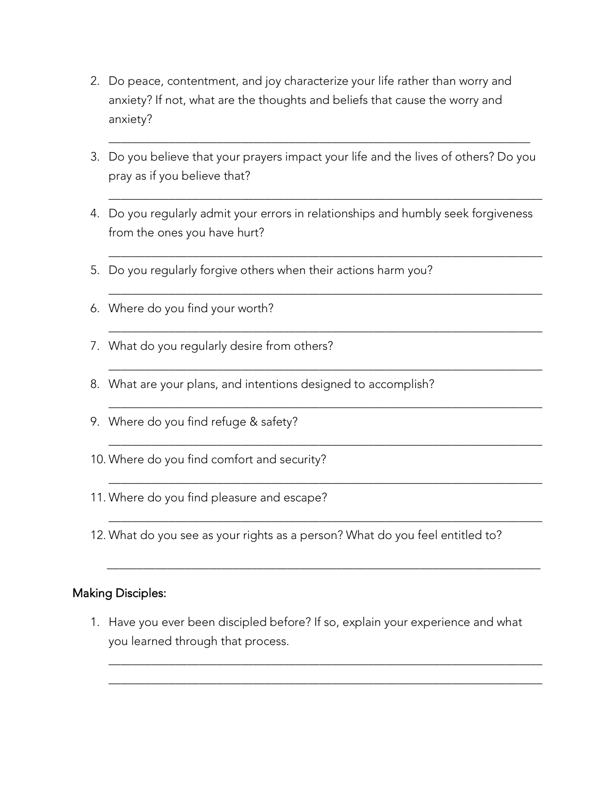- 2. Do peace, contentment, and joy characterize your life rather than worry and anxiety? If not, what are the thoughts and beliefs that cause the worry and anxiety?
- 3. Do you believe that your prayers impact your life and the lives of others? Do you pray as if you believe that?

\_\_\_\_\_\_\_\_\_\_\_\_\_\_\_\_\_\_\_\_\_\_\_\_\_\_\_\_\_\_\_\_\_\_\_\_\_\_\_\_\_\_\_\_\_\_\_\_\_\_\_\_\_\_\_\_\_\_\_\_\_\_\_\_\_\_\_\_\_\_\_\_

\_\_\_\_\_\_\_\_\_\_\_\_\_\_\_\_\_\_\_\_\_\_\_\_\_\_\_\_\_\_\_\_\_\_\_\_\_\_\_\_\_\_\_\_\_\_\_\_\_\_\_\_\_\_\_\_\_\_\_\_\_\_\_\_\_\_\_\_\_\_\_\_

\_\_\_\_\_\_\_\_\_\_\_\_\_\_\_\_\_\_\_\_\_\_\_\_\_\_\_\_\_\_\_\_\_\_\_\_\_\_\_\_\_\_\_\_\_\_\_\_\_\_\_\_\_\_\_\_\_\_\_\_\_\_\_\_\_\_\_\_\_\_\_\_

\_\_\_\_\_\_\_\_\_\_\_\_\_\_\_\_\_\_\_\_\_\_\_\_\_\_\_\_\_\_\_\_\_\_\_\_\_\_\_\_\_\_\_\_\_\_\_\_\_\_\_\_\_\_\_\_\_\_\_\_\_\_\_\_\_\_\_\_\_\_\_\_

\_\_\_\_\_\_\_\_\_\_\_\_\_\_\_\_\_\_\_\_\_\_\_\_\_\_\_\_\_\_\_\_\_\_\_\_\_\_\_\_\_\_\_\_\_\_\_\_\_\_\_\_\_\_\_\_\_\_\_\_\_\_\_\_\_\_\_\_\_\_\_\_

\_\_\_\_\_\_\_\_\_\_\_\_\_\_\_\_\_\_\_\_\_\_\_\_\_\_\_\_\_\_\_\_\_\_\_\_\_\_\_\_\_\_\_\_\_\_\_\_\_\_\_\_\_\_\_\_\_\_\_\_\_\_\_\_\_\_\_\_\_\_\_\_

\_\_\_\_\_\_\_\_\_\_\_\_\_\_\_\_\_\_\_\_\_\_\_\_\_\_\_\_\_\_\_\_\_\_\_\_\_\_\_\_\_\_\_\_\_\_\_\_\_\_\_\_\_\_\_\_\_\_\_\_\_\_\_\_\_\_\_\_\_\_\_\_

\_\_\_\_\_\_\_\_\_\_\_\_\_\_\_\_\_\_\_\_\_\_\_\_\_\_\_\_\_\_\_\_\_\_\_\_\_\_\_\_\_\_\_\_\_\_\_\_\_\_\_\_\_\_\_\_\_\_\_\_\_\_\_\_\_\_\_\_\_\_\_\_

\_\_\_\_\_\_\_\_\_\_\_\_\_\_\_\_\_\_\_\_\_\_\_\_\_\_\_\_\_\_\_\_\_\_\_\_\_\_\_\_\_\_\_\_\_\_\_\_\_\_\_\_\_\_\_\_\_\_\_\_\_\_\_\_\_\_\_\_\_\_\_\_

\_\_\_\_\_\_\_\_\_\_\_\_\_\_\_\_\_\_\_\_\_\_\_\_\_\_\_\_\_\_\_\_\_\_\_\_\_\_\_\_\_\_\_\_\_\_\_\_\_\_\_\_\_\_\_\_\_\_\_\_\_\_\_\_\_\_\_\_\_\_

- 4. Do you regularly admit your errors in relationships and humbly seek forgiveness from the ones you have hurt?
- 5. Do you regularly forgive others when their actions harm you?
- 6. Where do you find your worth?
- 7. What do you regularly desire from others?
- 8. What are your plans, and intentions designed to accomplish?
- 9. Where do you find refuge & safety?
- 10. Where do you find comfort and security?
- 11. Where do you find pleasure and escape?
- 12. What do you see as your rights as a person? What do you feel entitled to?

#### Making Disciples:

1. Have you ever been discipled before? If so, explain your experience and what you learned through that process.

\_\_\_\_\_\_\_\_\_\_\_\_\_\_\_\_\_\_\_\_\_\_\_\_\_\_\_\_\_\_\_\_\_\_\_\_\_\_\_\_\_\_\_\_\_\_\_\_\_\_\_\_\_\_\_\_\_\_\_\_\_\_\_\_\_\_\_\_\_\_\_\_ \_\_\_\_\_\_\_\_\_\_\_\_\_\_\_\_\_\_\_\_\_\_\_\_\_\_\_\_\_\_\_\_\_\_\_\_\_\_\_\_\_\_\_\_\_\_\_\_\_\_\_\_\_\_\_\_\_\_\_\_\_\_\_\_\_\_\_\_\_\_\_\_

 $\overline{\phantom{a}}$  ,  $\overline{\phantom{a}}$  ,  $\overline{\phantom{a}}$  ,  $\overline{\phantom{a}}$  ,  $\overline{\phantom{a}}$  ,  $\overline{\phantom{a}}$  ,  $\overline{\phantom{a}}$  ,  $\overline{\phantom{a}}$  ,  $\overline{\phantom{a}}$  ,  $\overline{\phantom{a}}$  ,  $\overline{\phantom{a}}$  ,  $\overline{\phantom{a}}$  ,  $\overline{\phantom{a}}$  ,  $\overline{\phantom{a}}$  ,  $\overline{\phantom{a}}$  ,  $\overline{\phantom{a}}$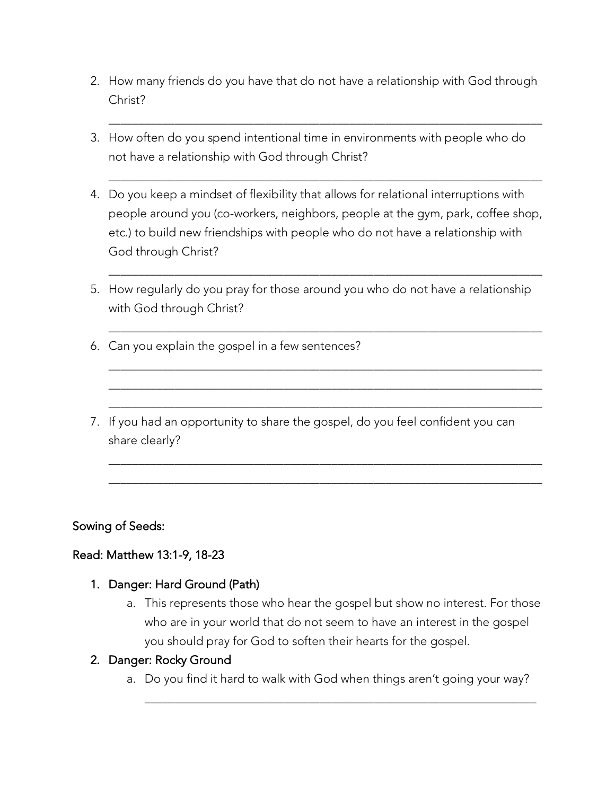2. How many friends do you have that do not have a relationship with God through Christ?

\_\_\_\_\_\_\_\_\_\_\_\_\_\_\_\_\_\_\_\_\_\_\_\_\_\_\_\_\_\_\_\_\_\_\_\_\_\_\_\_\_\_\_\_\_\_\_\_\_\_\_\_\_\_\_\_\_\_\_\_\_\_\_\_\_\_\_\_\_\_\_\_

\_\_\_\_\_\_\_\_\_\_\_\_\_\_\_\_\_\_\_\_\_\_\_\_\_\_\_\_\_\_\_\_\_\_\_\_\_\_\_\_\_\_\_\_\_\_\_\_\_\_\_\_\_\_\_\_\_\_\_\_\_\_\_\_\_\_\_\_\_\_\_\_

- 3. How often do you spend intentional time in environments with people who do not have a relationship with God through Christ?
- 4. Do you keep a mindset of flexibility that allows for relational interruptions with people around you (co-workers, neighbors, people at the gym, park, coffee shop, etc.) to build new friendships with people who do not have a relationship with God through Christ?

\_\_\_\_\_\_\_\_\_\_\_\_\_\_\_\_\_\_\_\_\_\_\_\_\_\_\_\_\_\_\_\_\_\_\_\_\_\_\_\_\_\_\_\_\_\_\_\_\_\_\_\_\_\_\_\_\_\_\_\_\_\_\_\_\_\_\_\_\_\_\_\_

\_\_\_\_\_\_\_\_\_\_\_\_\_\_\_\_\_\_\_\_\_\_\_\_\_\_\_\_\_\_\_\_\_\_\_\_\_\_\_\_\_\_\_\_\_\_\_\_\_\_\_\_\_\_\_\_\_\_\_\_\_\_\_\_\_\_\_\_\_\_\_\_

\_\_\_\_\_\_\_\_\_\_\_\_\_\_\_\_\_\_\_\_\_\_\_\_\_\_\_\_\_\_\_\_\_\_\_\_\_\_\_\_\_\_\_\_\_\_\_\_\_\_\_\_\_\_\_\_\_\_\_\_\_\_\_\_\_\_\_\_\_\_\_\_ \_\_\_\_\_\_\_\_\_\_\_\_\_\_\_\_\_\_\_\_\_\_\_\_\_\_\_\_\_\_\_\_\_\_\_\_\_\_\_\_\_\_\_\_\_\_\_\_\_\_\_\_\_\_\_\_\_\_\_\_\_\_\_\_\_\_\_\_\_\_\_\_ \_\_\_\_\_\_\_\_\_\_\_\_\_\_\_\_\_\_\_\_\_\_\_\_\_\_\_\_\_\_\_\_\_\_\_\_\_\_\_\_\_\_\_\_\_\_\_\_\_\_\_\_\_\_\_\_\_\_\_\_\_\_\_\_\_\_\_\_\_\_\_\_

\_\_\_\_\_\_\_\_\_\_\_\_\_\_\_\_\_\_\_\_\_\_\_\_\_\_\_\_\_\_\_\_\_\_\_\_\_\_\_\_\_\_\_\_\_\_\_\_\_\_\_\_\_\_\_\_\_\_\_\_\_\_\_\_\_\_\_\_\_\_\_\_ \_\_\_\_\_\_\_\_\_\_\_\_\_\_\_\_\_\_\_\_\_\_\_\_\_\_\_\_\_\_\_\_\_\_\_\_\_\_\_\_\_\_\_\_\_\_\_\_\_\_\_\_\_\_\_\_\_\_\_\_\_\_\_\_\_\_\_\_\_\_\_\_

- 5. How regularly do you pray for those around you who do not have a relationship with God through Christ?
- 6. Can you explain the gospel in a few sentences?
- 7. If you had an opportunity to share the gospel, do you feel confident you can share clearly?

#### Sowing of Seeds:

#### Read: Matthew 13:1-9, 18-23

#### 1. Danger: Hard Ground (Path)

a. This represents those who hear the gospel but show no interest. For those who are in your world that do not seem to have an interest in the gospel you should pray for God to soften their hearts for the gospel.

#### 2. Danger: Rocky Ground

a. Do you find it hard to walk with God when things aren't going your way?

\_\_\_\_\_\_\_\_\_\_\_\_\_\_\_\_\_\_\_\_\_\_\_\_\_\_\_\_\_\_\_\_\_\_\_\_\_\_\_\_\_\_\_\_\_\_\_\_\_\_\_\_\_\_\_\_\_\_\_\_\_\_\_\_\_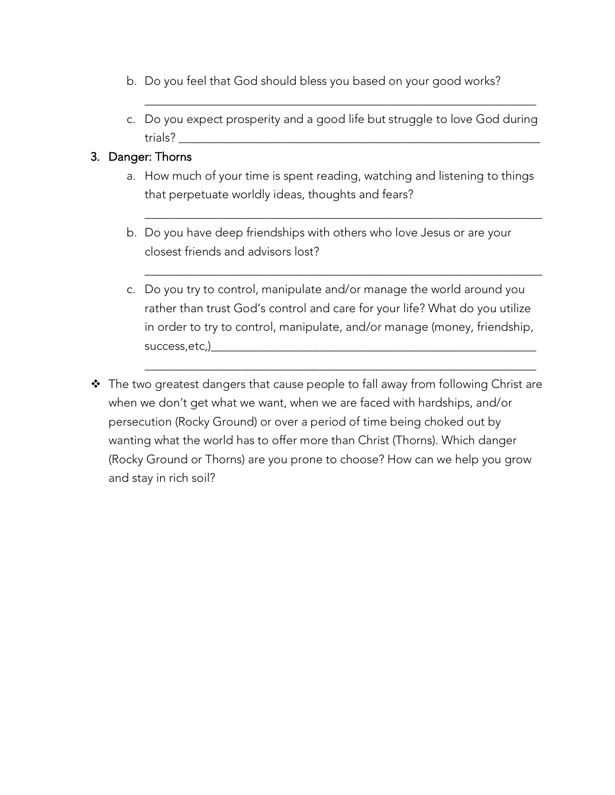- b. Do you feel that God should bless you based on your good works?
- c. Do you expect prosperity and a good life but struggle to love God during trials? \_\_\_\_\_\_\_\_\_\_\_\_\_\_\_\_\_\_\_\_\_\_\_\_\_\_\_\_\_\_\_\_\_\_\_\_\_\_\_\_\_\_\_\_\_\_\_\_\_\_\_\_\_\_\_\_\_\_\_\_

\_\_\_\_\_\_\_\_\_\_\_\_\_\_\_\_\_\_\_\_\_\_\_\_\_\_\_\_\_\_\_\_\_\_\_\_\_\_\_\_\_\_\_\_\_\_\_\_\_\_\_\_\_\_\_\_\_\_\_\_\_\_\_\_\_

#### 3. Danger: Thorns

a. How much of your time is spent reading, watching and listening to things that perpetuate worldly ideas, thoughts and fears?

\_\_\_\_\_\_\_\_\_\_\_\_\_\_\_\_\_\_\_\_\_\_\_\_\_\_\_\_\_\_\_\_\_\_\_\_\_\_\_\_\_\_\_\_\_\_\_\_\_\_\_\_\_\_\_\_\_\_\_\_\_\_\_\_\_\_

\_\_\_\_\_\_\_\_\_\_\_\_\_\_\_\_\_\_\_\_\_\_\_\_\_\_\_\_\_\_\_\_\_\_\_\_\_\_\_\_\_\_\_\_\_\_\_\_\_\_\_\_\_\_\_\_\_\_\_\_\_\_\_\_\_\_

- b. Do you have deep friendships with others who love Jesus or are your closest friends and advisors lost?
- c. Do you try to control, manipulate and/or manage the world around you rather than trust God's control and care for your life? What do you utilize in order to try to control, manipulate, and/or manage (money, friendship, success,etc,)

\_\_\_\_\_\_\_\_\_\_\_\_\_\_\_\_\_\_\_\_\_\_\_\_\_\_\_\_\_\_\_\_\_\_\_\_\_\_\_\_\_\_\_\_\_\_\_\_\_\_\_\_\_\_\_\_\_\_\_\_\_\_\_\_\_

 $\cdot \cdot$  The two greatest dangers that cause people to fall away from following Christ are when we don't get what we want, when we are faced with hardships, and/or persecution (Rocky Ground) or over a period of time being choked out by wanting what the world has to offer more than Christ (Thorns). Which danger (Rocky Ground or Thorns) are you prone to choose? How can we help you grow and stay in rich soil?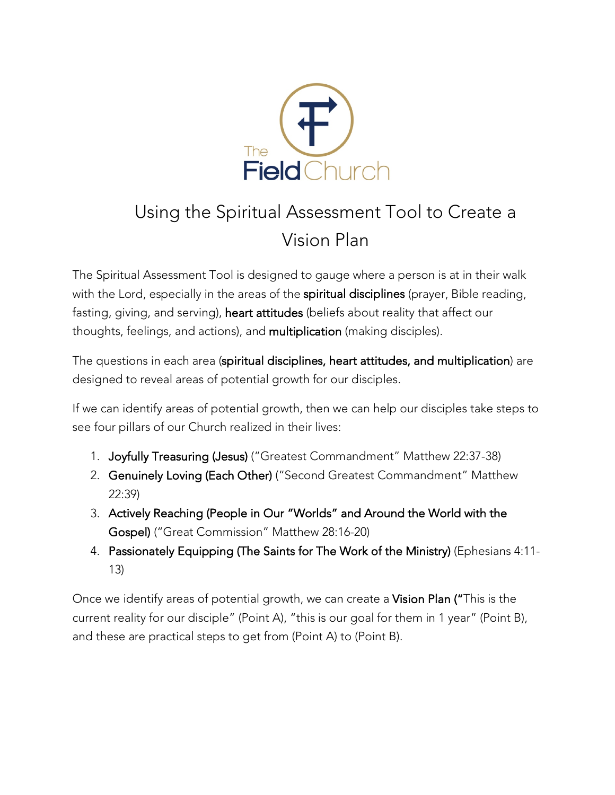

# Using the Spiritual Assessment Tool to Create a Vision Plan

The Spiritual Assessment Tool is designed to gauge where a person is at in their walk with the Lord, especially in the areas of the spiritual disciplines (prayer, Bible reading, fasting, giving, and serving), heart attitudes (beliefs about reality that affect our thoughts, feelings, and actions), and multiplication (making disciples).

The questions in each area (spiritual disciplines, heart attitudes, and multiplication) are designed to reveal areas of potential growth for our disciples.

If we can identify areas of potential growth, then we can help our disciples take steps to see four pillars of our Church realized in their lives:

- 1. Joyfully Treasuring (Jesus) ("Greatest Commandment" Matthew 22:37-38)
- 2. Genuinely Loving (Each Other) ("Second Greatest Commandment" Matthew 22:39)
- 3. Actively Reaching (People in Our "Worlds" and Around the World with the Gospel) ("Great Commission" Matthew 28:16-20)
- 4. Passionately Equipping (The Saints for The Work of the Ministry) (Ephesians 4:11- 13)

Once we identify areas of potential growth, we can create a Vision Plan ("This is the current reality for our disciple" (Point A), "this is our goal for them in 1 year" (Point B), and these are practical steps to get from (Point A) to (Point B).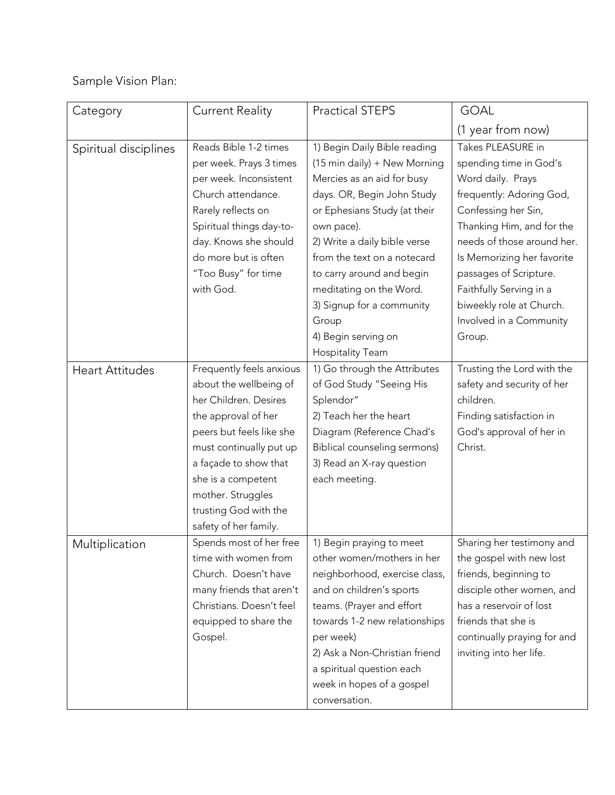### Sample Vision Plan:

| Category              | <b>Current Reality</b>   | <b>Practical STEPS</b>        | <b>GOAL</b>                 |
|-----------------------|--------------------------|-------------------------------|-----------------------------|
|                       |                          |                               | (1 year from now)           |
| Spiritual disciplines | Reads Bible 1-2 times    | 1) Begin Daily Bible reading  | Takes PLEASURE in           |
|                       | per week. Prays 3 times  | (15 min daily) + New Morning  | spending time in God's      |
|                       | per week. Inconsistent   | Mercies as an aid for busy    | Word daily. Prays           |
|                       | Church attendance.       | days. OR, Begin John Study    | frequently: Adoring God,    |
|                       | Rarely reflects on       | or Ephesians Study (at their  | Confessing her Sin,         |
|                       | Spiritual things day-to- | own pace).                    | Thanking Him, and for the   |
|                       | day. Knows she should    | 2) Write a daily bible verse  | needs of those around her.  |
|                       | do more but is often     | from the text on a notecard   | Is Memorizing her favorite  |
|                       | "Too Busy" for time      | to carry around and begin     | passages of Scripture.      |
|                       | with God.                | meditating on the Word.       | Faithfully Serving in a     |
|                       |                          | 3) Signup for a community     | biweekly role at Church.    |
|                       |                          | Group                         | Involved in a Community     |
|                       |                          | 4) Begin serving on           | Group.                      |
|                       |                          | <b>Hospitality Team</b>       |                             |
| Heart Attitudes       | Frequently feels anxious | 1) Go through the Attributes  | Trusting the Lord with the  |
|                       | about the wellbeing of   | of God Study "Seeing His      | safety and security of her  |
|                       | her Children. Desires    | Splendor"                     | children.                   |
|                       | the approval of her      | 2) Teach her the heart        | Finding satisfaction in     |
|                       | peers but feels like she | Diagram (Reference Chad's     | God's approval of her in    |
|                       | must continually put up  | Biblical counseling sermons)  | Christ.                     |
|                       | a façade to show that    | 3) Read an X-ray question     |                             |
|                       | she is a competent       | each meeting.                 |                             |
|                       | mother. Struggles        |                               |                             |
|                       | trusting God with the    |                               |                             |
|                       | safety of her family.    |                               |                             |
| Multiplication        | Spends most of her free  | 1) Begin praying to meet      | Sharing her testimony and   |
|                       | time with women from     | other women/mothers in her    | the gospel with new lost    |
|                       | Church. Doesn't have     | neighborhood, exercise class, | friends, beginning to       |
|                       | many friends that aren't | and on children's sports      | disciple other women, and   |
|                       | Christians. Doesn't feel | teams. (Prayer and effort     | has a reservoir of lost     |
|                       | equipped to share the    | towards 1-2 new relationships | friends that she is         |
|                       | Gospel.                  | per week)                     | continually praying for and |
|                       |                          | 2) Ask a Non-Christian friend | inviting into her life.     |
|                       |                          | a spiritual question each     |                             |
|                       |                          | week in hopes of a gospel     |                             |
|                       |                          | conversation.                 |                             |